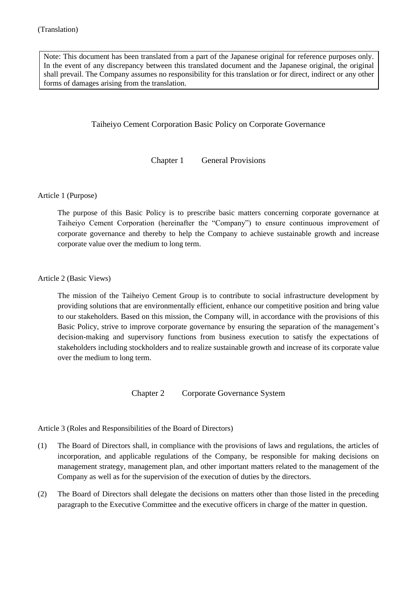Note: This document has been translated from a part of the Japanese original for reference purposes only. In the event of any discrepancy between this translated document and the Japanese original, the original shall prevail. The Company assumes no responsibility for this translation or for direct, indirect or any other forms of damages arising from the translation.

## Taiheiyo Cement Corporation Basic Policy on Corporate Governance

Chapter 1 General Provisions

Article 1 (Purpose)

The purpose of this Basic Policy is to prescribe basic matters concerning corporate governance at Taiheiyo Cement Corporation (hereinafter the "Company") to ensure continuous improvement of corporate governance and thereby to help the Company to achieve sustainable growth and increase corporate value over the medium to long term.

Article 2 (Basic Views)

The mission of the Taiheiyo Cement Group is to contribute to social infrastructure development by providing solutions that are environmentally efficient, enhance our competitive position and bring value to our stakeholders. Based on this mission, the Company will, in accordance with the provisions of this Basic Policy, strive to improve corporate governance by ensuring the separation of the management's decision-making and supervisory functions from business execution to satisfy the expectations of stakeholders including stockholders and to realize sustainable growth and increase of its corporate value over the medium to long term.

Chapter 2 Corporate Governance System

Article 3 (Roles and Responsibilities of the Board of Directors)

- (1) The Board of Directors shall, in compliance with the provisions of laws and regulations, the articles of incorporation, and applicable regulations of the Company, be responsible for making decisions on management strategy, management plan, and other important matters related to the management of the Company as well as for the supervision of the execution of duties by the directors.
- (2) The Board of Directors shall delegate the decisions on matters other than those listed in the preceding paragraph to the Executive Committee and the executive officers in charge of the matter in question.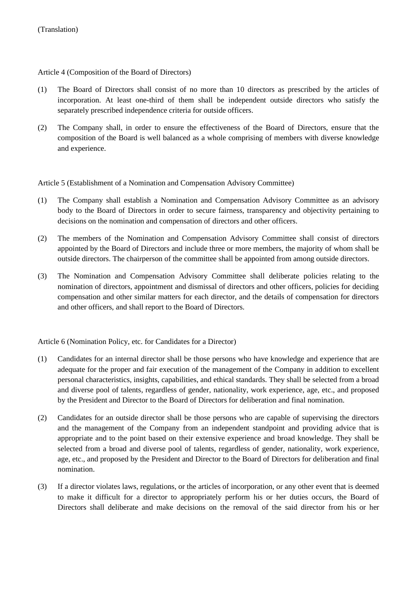Article 4 (Composition of the Board of Directors)

- (1) The Board of Directors shall consist of no more than 10 directors as prescribed by the articles of incorporation. At least one-third of them shall be independent outside directors who satisfy the separately prescribed independence criteria for outside officers.
- (2) The Company shall, in order to ensure the effectiveness of the Board of Directors, ensure that the composition of the Board is well balanced as a whole comprising of members with diverse knowledge and experience.

Article 5 (Establishment of a Nomination and Compensation Advisory Committee)

- (1) The Company shall establish a Nomination and Compensation Advisory Committee as an advisory body to the Board of Directors in order to secure fairness, transparency and objectivity pertaining to decisions on the nomination and compensation of directors and other officers.
- (2) The members of the Nomination and Compensation Advisory Committee shall consist of directors appointed by the Board of Directors and include three or more members, the majority of whom shall be outside directors. The chairperson of the committee shall be appointed from among outside directors.
- (3) The Nomination and Compensation Advisory Committee shall deliberate policies relating to the nomination of directors, appointment and dismissal of directors and other officers, policies for deciding compensation and other similar matters for each director, and the details of compensation for directors and other officers, and shall report to the Board of Directors.

Article 6 (Nomination Policy, etc. for Candidates for a Director)

- (1) Candidates for an internal director shall be those persons who have knowledge and experience that are adequate for the proper and fair execution of the management of the Company in addition to excellent personal characteristics, insights, capabilities, and ethical standards. They shall be selected from a broad and diverse pool of talents, regardless of gender, nationality, work experience, age, etc., and proposed by the President and Director to the Board of Directors for deliberation and final nomination.
- (2) Candidates for an outside director shall be those persons who are capable of supervising the directors and the management of the Company from an independent standpoint and providing advice that is appropriate and to the point based on their extensive experience and broad knowledge. They shall be selected from a broad and diverse pool of talents, regardless of gender, nationality, work experience, age, etc., and proposed by the President and Director to the Board of Directors for deliberation and final nomination.
- (3) If a director violates laws, regulations, or the articles of incorporation, or any other event that is deemed to make it difficult for a director to appropriately perform his or her duties occurs, the Board of Directors shall deliberate and make decisions on the removal of the said director from his or her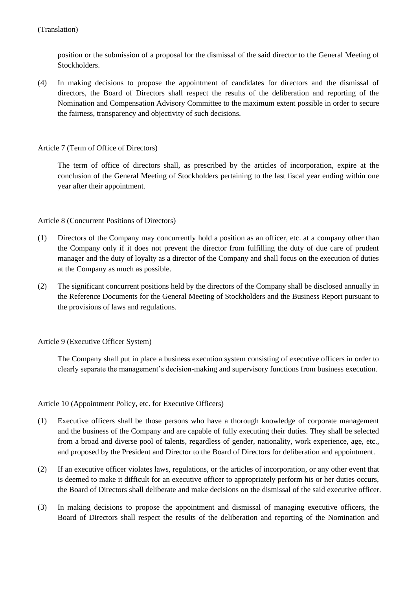position or the submission of a proposal for the dismissal of the said director to the General Meeting of Stockholders.

(4) In making decisions to propose the appointment of candidates for directors and the dismissal of directors, the Board of Directors shall respect the results of the deliberation and reporting of the Nomination and Compensation Advisory Committee to the maximum extent possible in order to secure the fairness, transparency and objectivity of such decisions.

## Article 7 (Term of Office of Directors)

The term of office of directors shall, as prescribed by the articles of incorporation, expire at the conclusion of the General Meeting of Stockholders pertaining to the last fiscal year ending within one year after their appointment.

#### Article 8 (Concurrent Positions of Directors)

- (1) Directors of the Company may concurrently hold a position as an officer, etc. at a company other than the Company only if it does not prevent the director from fulfilling the duty of due care of prudent manager and the duty of loyalty as a director of the Company and shall focus on the execution of duties at the Company as much as possible.
- (2) The significant concurrent positions held by the directors of the Company shall be disclosed annually in the Reference Documents for the General Meeting of Stockholders and the Business Report pursuant to the provisions of laws and regulations.

## Article 9 (Executive Officer System)

The Company shall put in place a business execution system consisting of executive officers in order to clearly separate the management's decision-making and supervisory functions from business execution.

#### Article 10 (Appointment Policy, etc. for Executive Officers)

- (1) Executive officers shall be those persons who have a thorough knowledge of corporate management and the business of the Company and are capable of fully executing their duties. They shall be selected from a broad and diverse pool of talents, regardless of gender, nationality, work experience, age, etc., and proposed by the President and Director to the Board of Directors for deliberation and appointment.
- (2) If an executive officer violates laws, regulations, or the articles of incorporation, or any other event that is deemed to make it difficult for an executive officer to appropriately perform his or her duties occurs, the Board of Directors shall deliberate and make decisions on the dismissal of the said executive officer.
- (3) In making decisions to propose the appointment and dismissal of managing executive officers, the Board of Directors shall respect the results of the deliberation and reporting of the Nomination and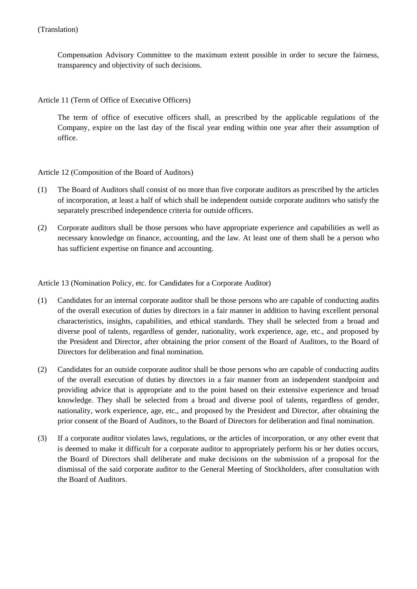Compensation Advisory Committee to the maximum extent possible in order to secure the fairness, transparency and objectivity of such decisions.

Article 11 (Term of Office of Executive Officers)

The term of office of executive officers shall, as prescribed by the applicable regulations of the Company, expire on the last day of the fiscal year ending within one year after their assumption of office.

Article 12 (Composition of the Board of Auditors)

- (1) The Board of Auditors shall consist of no more than five corporate auditors as prescribed by the articles of incorporation, at least a half of which shall be independent outside corporate auditors who satisfy the separately prescribed independence criteria for outside officers.
- (2) Corporate auditors shall be those persons who have appropriate experience and capabilities as well as necessary knowledge on finance, accounting, and the law. At least one of them shall be a person who has sufficient expertise on finance and accounting.

Article 13 (Nomination Policy, etc. for Candidates for a Corporate Auditor)

- (1) Candidates for an internal corporate auditor shall be those persons who are capable of conducting audits of the overall execution of duties by directors in a fair manner in addition to having excellent personal characteristics, insights, capabilities, and ethical standards. They shall be selected from a broad and diverse pool of talents, regardless of gender, nationality, work experience, age, etc., and proposed by the President and Director, after obtaining the prior consent of the Board of Auditors, to the Board of Directors for deliberation and final nomination.
- (2) Candidates for an outside corporate auditor shall be those persons who are capable of conducting audits of the overall execution of duties by directors in a fair manner from an independent standpoint and providing advice that is appropriate and to the point based on their extensive experience and broad knowledge. They shall be selected from a broad and diverse pool of talents, regardless of gender, nationality, work experience, age, etc., and proposed by the President and Director, after obtaining the prior consent of the Board of Auditors, to the Board of Directors for deliberation and final nomination.
- (3) If a corporate auditor violates laws, regulations, or the articles of incorporation, or any other event that is deemed to make it difficult for a corporate auditor to appropriately perform his or her duties occurs, the Board of Directors shall deliberate and make decisions on the submission of a proposal for the dismissal of the said corporate auditor to the General Meeting of Stockholders, after consultation with the Board of Auditors.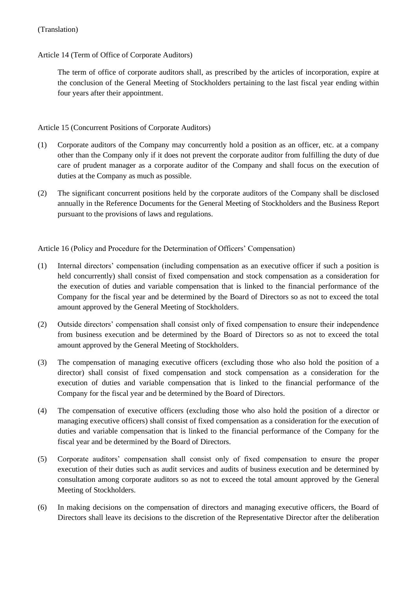## Article 14 (Term of Office of Corporate Auditors)

The term of office of corporate auditors shall, as prescribed by the articles of incorporation, expire at the conclusion of the General Meeting of Stockholders pertaining to the last fiscal year ending within four years after their appointment.

### Article 15 (Concurrent Positions of Corporate Auditors)

- (1) Corporate auditors of the Company may concurrently hold a position as an officer, etc. at a company other than the Company only if it does not prevent the corporate auditor from fulfilling the duty of due care of prudent manager as a corporate auditor of the Company and shall focus on the execution of duties at the Company as much as possible.
- (2) The significant concurrent positions held by the corporate auditors of the Company shall be disclosed annually in the Reference Documents for the General Meeting of Stockholders and the Business Report pursuant to the provisions of laws and regulations.

Article 16 (Policy and Procedure for the Determination of Officers' Compensation)

- (1) Internal directors' compensation (including compensation as an executive officer if such a position is held concurrently) shall consist of fixed compensation and stock compensation as a consideration for the execution of duties and variable compensation that is linked to the financial performance of the Company for the fiscal year and be determined by the Board of Directors so as not to exceed the total amount approved by the General Meeting of Stockholders.
- (2) Outside directors' compensation shall consist only of fixed compensation to ensure their independence from business execution and be determined by the Board of Directors so as not to exceed the total amount approved by the General Meeting of Stockholders.
- (3) The compensation of managing executive officers (excluding those who also hold the position of a director) shall consist of fixed compensation and stock compensation as a consideration for the execution of duties and variable compensation that is linked to the financial performance of the Company for the fiscal year and be determined by the Board of Directors.
- (4) The compensation of executive officers (excluding those who also hold the position of a director or managing executive officers) shall consist of fixed compensation as a consideration for the execution of duties and variable compensation that is linked to the financial performance of the Company for the fiscal year and be determined by the Board of Directors.
- (5) Corporate auditors' compensation shall consist only of fixed compensation to ensure the proper execution of their duties such as audit services and audits of business execution and be determined by consultation among corporate auditors so as not to exceed the total amount approved by the General Meeting of Stockholders.
- (6) In making decisions on the compensation of directors and managing executive officers, the Board of Directors shall leave its decisions to the discretion of the Representative Director after the deliberation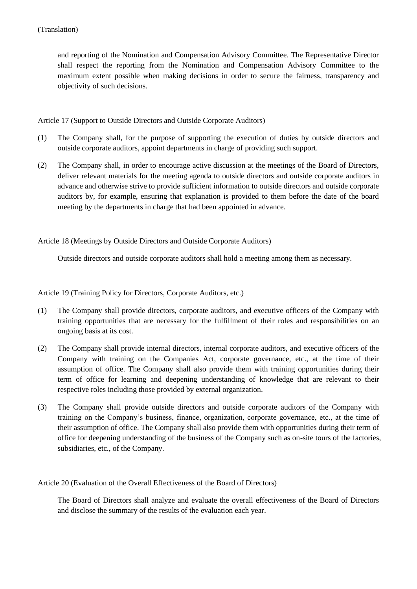and reporting of the Nomination and Compensation Advisory Committee. The Representative Director shall respect the reporting from the Nomination and Compensation Advisory Committee to the maximum extent possible when making decisions in order to secure the fairness, transparency and objectivity of such decisions.

Article 17 (Support to Outside Directors and Outside Corporate Auditors)

- (1) The Company shall, for the purpose of supporting the execution of duties by outside directors and outside corporate auditors, appoint departments in charge of providing such support.
- (2) The Company shall, in order to encourage active discussion at the meetings of the Board of Directors, deliver relevant materials for the meeting agenda to outside directors and outside corporate auditors in advance and otherwise strive to provide sufficient information to outside directors and outside corporate auditors by, for example, ensuring that explanation is provided to them before the date of the board meeting by the departments in charge that had been appointed in advance.

Article 18 (Meetings by Outside Directors and Outside Corporate Auditors)

Outside directors and outside corporate auditors shall hold a meeting among them as necessary.

Article 19 (Training Policy for Directors, Corporate Auditors, etc.)

- (1) The Company shall provide directors, corporate auditors, and executive officers of the Company with training opportunities that are necessary for the fulfillment of their roles and responsibilities on an ongoing basis at its cost.
- (2) The Company shall provide internal directors, internal corporate auditors, and executive officers of the Company with training on the Companies Act, corporate governance, etc., at the time of their assumption of office. The Company shall also provide them with training opportunities during their term of office for learning and deepening understanding of knowledge that are relevant to their respective roles including those provided by external organization.
- (3) The Company shall provide outside directors and outside corporate auditors of the Company with training on the Company's business, finance, organization, corporate governance, etc., at the time of their assumption of office. The Company shall also provide them with opportunities during their term of office for deepening understanding of the business of the Company such as on-site tours of the factories, subsidiaries, etc., of the Company.

Article 20 (Evaluation of the Overall Effectiveness of the Board of Directors)

The Board of Directors shall analyze and evaluate the overall effectiveness of the Board of Directors and disclose the summary of the results of the evaluation each year.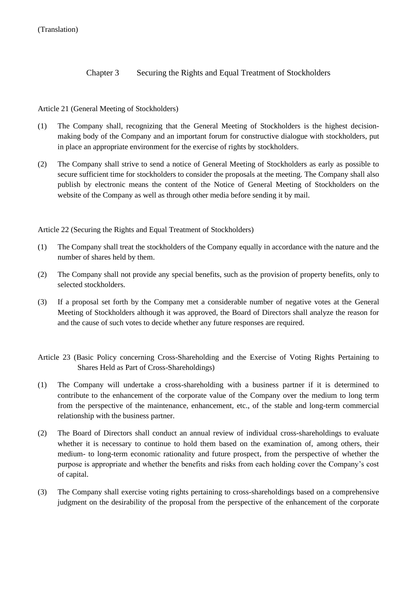Chapter 3 Securing the Rights and Equal Treatment of Stockholders

# Article 21 (General Meeting of Stockholders)

- (1) The Company shall, recognizing that the General Meeting of Stockholders is the highest decisionmaking body of the Company and an important forum for constructive dialogue with stockholders, put in place an appropriate environment for the exercise of rights by stockholders.
- (2) The Company shall strive to send a notice of General Meeting of Stockholders as early as possible to secure sufficient time for stockholders to consider the proposals at the meeting. The Company shall also publish by electronic means the content of the Notice of General Meeting of Stockholders on the website of the Company as well as through other media before sending it by mail.

Article 22 (Securing the Rights and Equal Treatment of Stockholders)

- (1) The Company shall treat the stockholders of the Company equally in accordance with the nature and the number of shares held by them.
- (2) The Company shall not provide any special benefits, such as the provision of property benefits, only to selected stockholders.
- (3) If a proposal set forth by the Company met a considerable number of negative votes at the General Meeting of Stockholders although it was approved, the Board of Directors shall analyze the reason for and the cause of such votes to decide whether any future responses are required.
- Article 23 (Basic Policy concerning Cross-Shareholding and the Exercise of Voting Rights Pertaining to Shares Held as Part of Cross-Shareholdings)
- (1) The Company will undertake a cross-shareholding with a business partner if it is determined to contribute to the enhancement of the corporate value of the Company over the medium to long term from the perspective of the maintenance, enhancement, etc., of the stable and long-term commercial relationship with the business partner.
- (2) The Board of Directors shall conduct an annual review of individual cross-shareholdings to evaluate whether it is necessary to continue to hold them based on the examination of, among others, their medium- to long-term economic rationality and future prospect, from the perspective of whether the purpose is appropriate and whether the benefits and risks from each holding cover the Company's cost of capital.
- (3) The Company shall exercise voting rights pertaining to cross-shareholdings based on a comprehensive judgment on the desirability of the proposal from the perspective of the enhancement of the corporate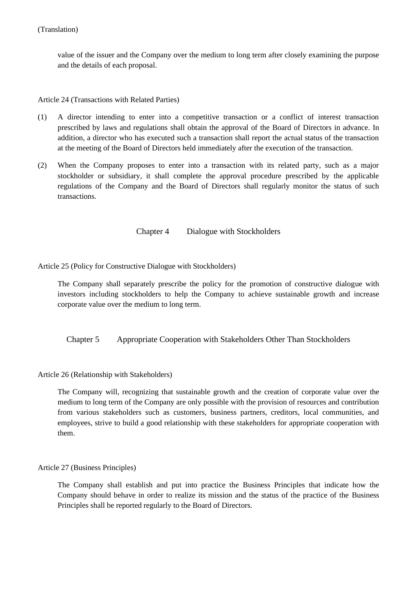value of the issuer and the Company over the medium to long term after closely examining the purpose and the details of each proposal.

Article 24 (Transactions with Related Parties)

- (1) A director intending to enter into a competitive transaction or a conflict of interest transaction prescribed by laws and regulations shall obtain the approval of the Board of Directors in advance. In addition, a director who has executed such a transaction shall report the actual status of the transaction at the meeting of the Board of Directors held immediately after the execution of the transaction.
- (2) When the Company proposes to enter into a transaction with its related party, such as a major stockholder or subsidiary, it shall complete the approval procedure prescribed by the applicable regulations of the Company and the Board of Directors shall regularly monitor the status of such transactions.

Chapter 4 Dialogue with Stockholders

Article 25 (Policy for Constructive Dialogue with Stockholders)

The Company shall separately prescribe the policy for the promotion of constructive dialogue with investors including stockholders to help the Company to achieve sustainable growth and increase corporate value over the medium to long term.

Chapter 5 Appropriate Cooperation with Stakeholders Other Than Stockholders

Article 26 (Relationship with Stakeholders)

The Company will, recognizing that sustainable growth and the creation of corporate value over the medium to long term of the Company are only possible with the provision of resources and contribution from various stakeholders such as customers, business partners, creditors, local communities, and employees, strive to build a good relationship with these stakeholders for appropriate cooperation with them.

Article 27 (Business Principles)

The Company shall establish and put into practice the Business Principles that indicate how the Company should behave in order to realize its mission and the status of the practice of the Business Principles shall be reported regularly to the Board of Directors.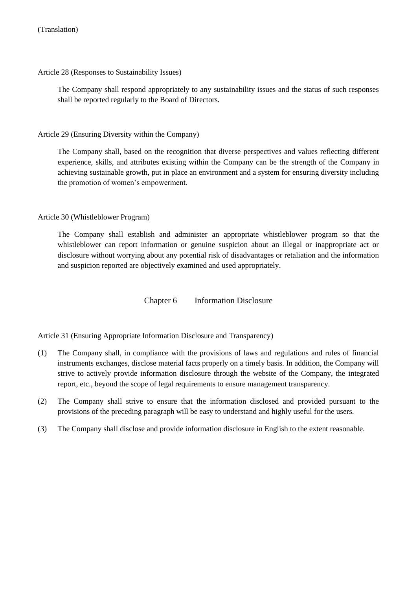Article 28 (Responses to Sustainability Issues)

The Company shall respond appropriately to any sustainability issues and the status of such responses shall be reported regularly to the Board of Directors.

Article 29 (Ensuring Diversity within the Company)

The Company shall, based on the recognition that diverse perspectives and values reflecting different experience, skills, and attributes existing within the Company can be the strength of the Company in achieving sustainable growth, put in place an environment and a system for ensuring diversity including the promotion of women's empowerment.

# Article 30 (Whistleblower Program)

The Company shall establish and administer an appropriate whistleblower program so that the whistleblower can report information or genuine suspicion about an illegal or inappropriate act or disclosure without worrying about any potential risk of disadvantages or retaliation and the information and suspicion reported are objectively examined and used appropriately.

Chapter 6 Information Disclosure

Article 31 (Ensuring Appropriate Information Disclosure and Transparency)

- (1) The Company shall, in compliance with the provisions of laws and regulations and rules of financial instruments exchanges, disclose material facts properly on a timely basis. In addition, the Company will strive to actively provide information disclosure through the website of the Company, the integrated report, etc., beyond the scope of legal requirements to ensure management transparency.
- (2) The Company shall strive to ensure that the information disclosed and provided pursuant to the provisions of the preceding paragraph will be easy to understand and highly useful for the users.
- (3) The Company shall disclose and provide information disclosure in English to the extent reasonable.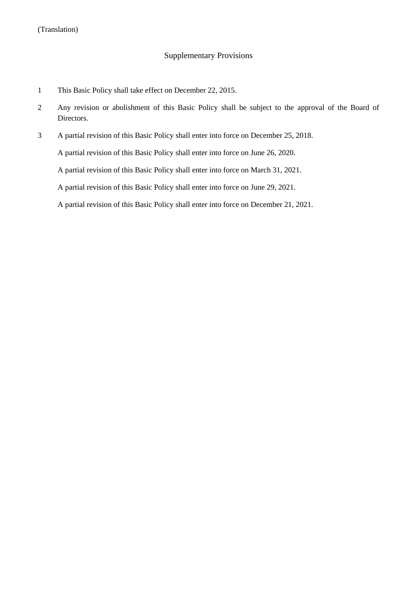# Supplementary Provisions

- 1 This Basic Policy shall take effect on December 22, 2015.
- 2 Any revision or abolishment of this Basic Policy shall be subject to the approval of the Board of Directors.
- 3 A partial revision of this Basic Policy shall enter into force on December 25, 2018.

A partial revision of this Basic Policy shall enter into force on June 26, 2020.

A partial revision of this Basic Policy shall enter into force on March 31, 2021.

A partial revision of this Basic Policy shall enter into force on June 29, 2021.

A partial revision of this Basic Policy shall enter into force on December 21, 2021.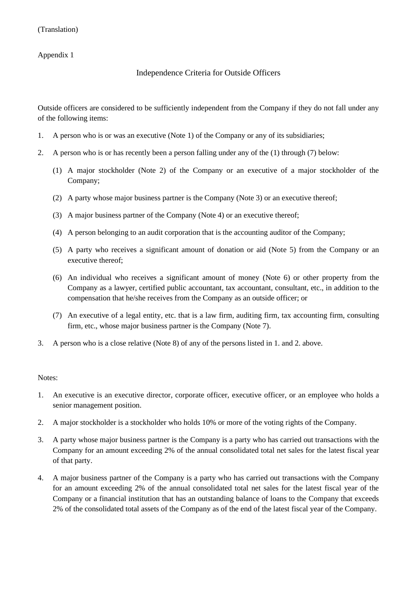# Appendix 1

# Independence Criteria for Outside Officers

Outside officers are considered to be sufficiently independent from the Company if they do not fall under any of the following items:

- 1. A person who is or was an executive (Note 1) of the Company or any of its subsidiaries;
- 2. A person who is or has recently been a person falling under any of the (1) through (7) below:
	- (1) A major stockholder (Note 2) of the Company or an executive of a major stockholder of the Company;
	- (2) A party whose major business partner is the Company (Note 3) or an executive thereof;
	- (3) A major business partner of the Company (Note 4) or an executive thereof;
	- (4) A person belonging to an audit corporation that is the accounting auditor of the Company;
	- (5) A party who receives a significant amount of donation or aid (Note 5) from the Company or an executive thereof;
	- (6) An individual who receives a significant amount of money (Note 6) or other property from the Company as a lawyer, certified public accountant, tax accountant, consultant, etc., in addition to the compensation that he/she receives from the Company as an outside officer; or
	- (7) An executive of a legal entity, etc. that is a law firm, auditing firm, tax accounting firm, consulting firm, etc., whose major business partner is the Company (Note 7).
- 3. A person who is a close relative (Note 8) of any of the persons listed in 1. and 2. above.

#### Notes:

- 1. An executive is an executive director, corporate officer, executive officer, or an employee who holds a senior management position.
- 2. A major stockholder is a stockholder who holds 10% or more of the voting rights of the Company.
- 3. A party whose major business partner is the Company is a party who has carried out transactions with the Company for an amount exceeding 2% of the annual consolidated total net sales for the latest fiscal year of that party.
- 4. A major business partner of the Company is a party who has carried out transactions with the Company for an amount exceeding 2% of the annual consolidated total net sales for the latest fiscal year of the Company or a financial institution that has an outstanding balance of loans to the Company that exceeds 2% of the consolidated total assets of the Company as of the end of the latest fiscal year of the Company.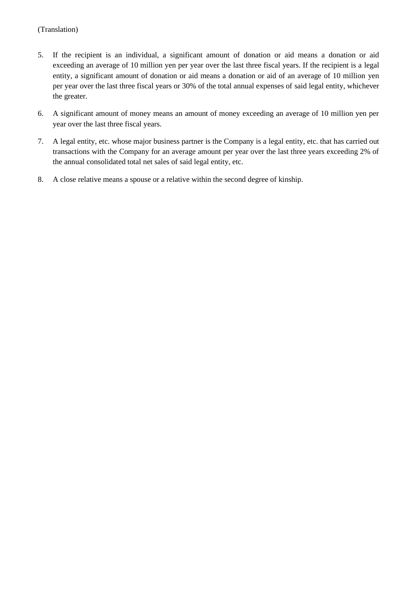- 5. If the recipient is an individual, a significant amount of donation or aid means a donation or aid exceeding an average of 10 million yen per year over the last three fiscal years. If the recipient is a legal entity, a significant amount of donation or aid means a donation or aid of an average of 10 million yen per year over the last three fiscal years or 30% of the total annual expenses of said legal entity, whichever the greater.
- 6. A significant amount of money means an amount of money exceeding an average of 10 million yen per year over the last three fiscal years.
- 7. A legal entity, etc. whose major business partner is the Company is a legal entity, etc. that has carried out transactions with the Company for an average amount per year over the last three years exceeding 2% of the annual consolidated total net sales of said legal entity, etc.
- 8. A close relative means a spouse or a relative within the second degree of kinship.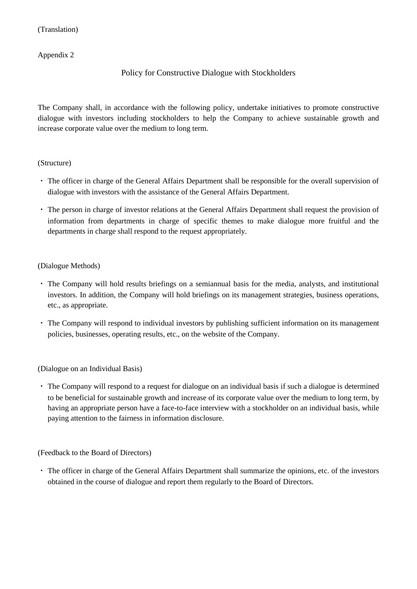### Appendix 2

# Policy for Constructive Dialogue with Stockholders

The Company shall, in accordance with the following policy, undertake initiatives to promote constructive dialogue with investors including stockholders to help the Company to achieve sustainable growth and increase corporate value over the medium to long term.

#### (Structure)

- ・ The officer in charge of the General Affairs Department shall be responsible for the overall supervision of dialogue with investors with the assistance of the General Affairs Department.
- ・ The person in charge of investor relations at the General Affairs Department shall request the provision of information from departments in charge of specific themes to make dialogue more fruitful and the departments in charge shall respond to the request appropriately.

#### (Dialogue Methods)

- ・ The Company will hold results briefings on a semiannual basis for the media, analysts, and institutional investors. In addition, the Company will hold briefings on its management strategies, business operations, etc., as appropriate.
- ・ The Company will respond to individual investors by publishing sufficient information on its management policies, businesses, operating results, etc., on the website of the Company.

(Dialogue on an Individual Basis)

・ The Company will respond to a request for dialogue on an individual basis if such a dialogue is determined to be beneficial for sustainable growth and increase of its corporate value over the medium to long term, by having an appropriate person have a face-to-face interview with a stockholder on an individual basis, while paying attention to the fairness in information disclosure.

(Feedback to the Board of Directors)

・ The officer in charge of the General Affairs Department shall summarize the opinions, etc. of the investors obtained in the course of dialogue and report them regularly to the Board of Directors.